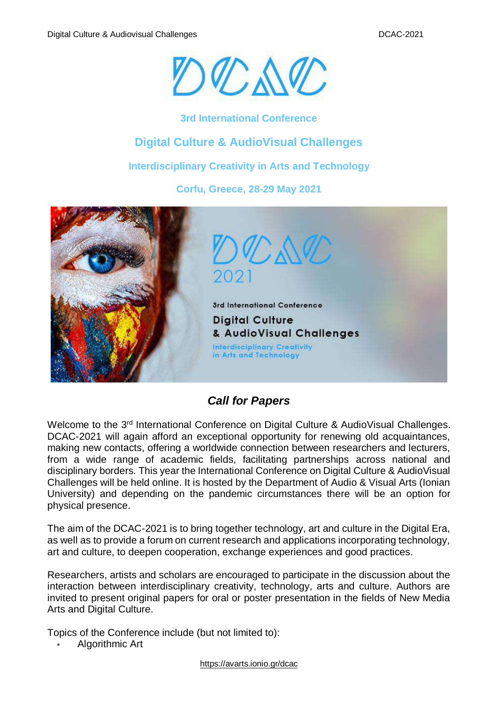

**3rd International Conference**

## **Digital Culture & AudioVisual Challenges**

**Interdisciplinary Creativity in Arts and Technology**

**Corfu, Greece, 28-29 May 2021**



## *Call for Papers*

Welcome to the 3<sup>rd</sup> International Conference on Digital Culture & AudioVisual Challenges. DCAC-2021 will again afford an exceptional opportunity for renewing old acquaintances, making new contacts, offering a worldwide connection between researchers and lecturers, from a wide range of academic fields, facilitating partnerships across national and disciplinary borders. This year the International Conference on Digital Culture & AudioVisual Challenges will be held online. It is hosted by the Department of Audio & Visual Arts (Ionian University) and depending on the pandemic circumstances there will be an option for physical presence.

The aim of the DCAC-2021 is to bring together technology, art and culture in the Digital Era, as well as to provide a forum on current research and applications incorporating technology, art and culture, to deepen cooperation, exchange experiences and good practices.

Researchers, artists and scholars are encouraged to participate in the discussion about the interaction between interdisciplinary creativity, technology, arts and culture. Authors are invited to present original papers for oral or poster presentation in the fields of New Media Arts and Digital Culture.

Topics of the Conference include (but not limited to):

• Algorithmic Art